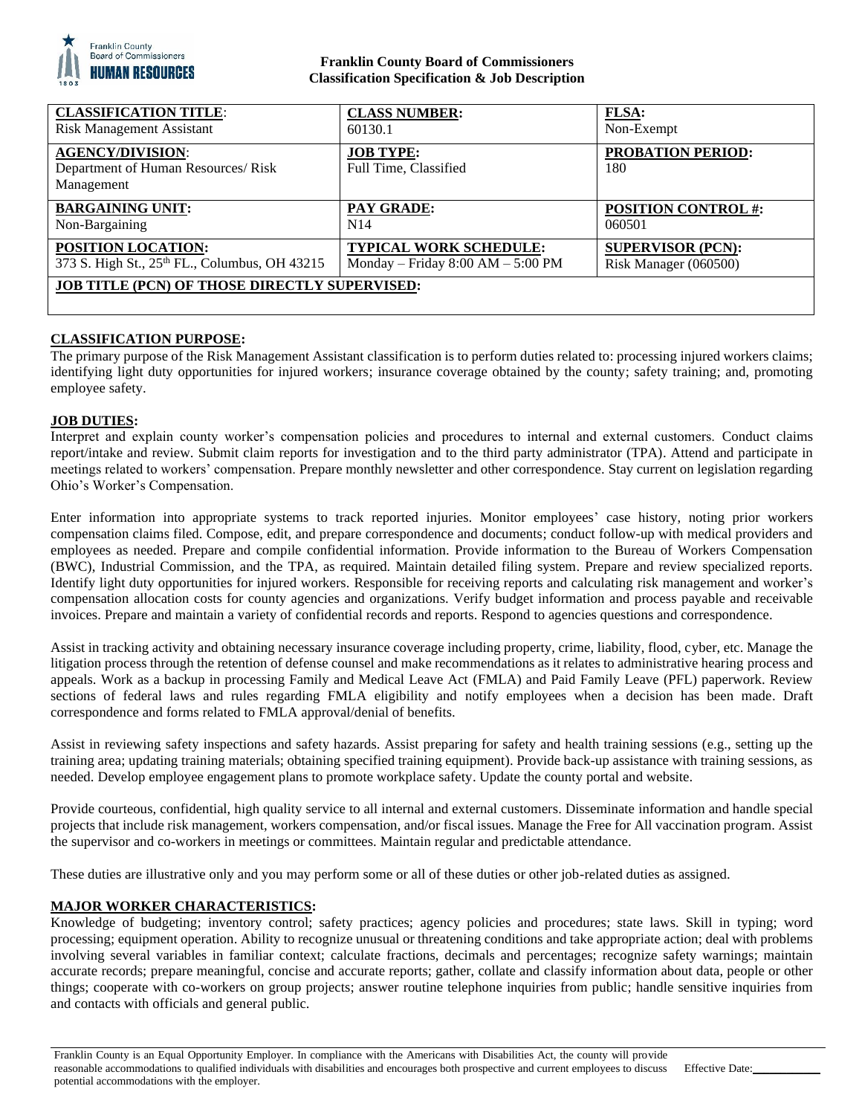

## **Franklin County Board of Commissioners Classification Specification & Job Description**

| <b>CLASSIFICATION TITLE:</b>                                                | <b>CLASS NUMBER:</b>                      | <b>FLSA:</b>                    |
|-----------------------------------------------------------------------------|-------------------------------------------|---------------------------------|
| <b>Risk Management Assistant</b>                                            | 60130.1                                   | Non-Exempt                      |
| <b>AGENCY/DIVISION:</b><br>Department of Human Resources/Risk<br>Management | <b>JOB TYPE:</b><br>Full Time, Classified | <b>PROBATION PERIOD:</b><br>180 |
| <b>BARGAINING UNIT:</b>                                                     | <b>PAY GRADE:</b>                         | <b>POSITION CONTROL #:</b>      |
| Non-Bargaining                                                              | N14                                       | 060501                          |
| POSITION LOCATION:                                                          | <b>TYPICAL WORK SCHEDULE:</b>             | <b>SUPERVISOR (PCN):</b>        |
| 373 S. High St., 25th FL., Columbus, OH 43215                               | Monday – Friday $8:00 AM - 5:00 PM$       | Risk Manager (060500)           |
| <b>JOB TITLE (PCN) OF THOSE DIRECTLY SUPERVISED:</b>                        |                                           |                                 |

## **CLASSIFICATION PURPOSE:**

The primary purpose of the Risk Management Assistant classification is to perform duties related to: processing injured workers claims; identifying light duty opportunities for injured workers; insurance coverage obtained by the county; safety training; and, promoting employee safety.

### **JOB DUTIES:**

Interpret and explain county worker's compensation policies and procedures to internal and external customers. Conduct claims report/intake and review. Submit claim reports for investigation and to the third party administrator (TPA). Attend and participate in meetings related to workers' compensation. Prepare monthly newsletter and other correspondence. Stay current on legislation regarding Ohio's Worker's Compensation.

Enter information into appropriate systems to track reported injuries. Monitor employees' case history, noting prior workers compensation claims filed. Compose, edit, and prepare correspondence and documents; conduct follow-up with medical providers and employees as needed. Prepare and compile confidential information. Provide information to the Bureau of Workers Compensation (BWC), Industrial Commission, and the TPA, as required. Maintain detailed filing system. Prepare and review specialized reports. Identify light duty opportunities for injured workers. Responsible for receiving reports and calculating risk management and worker's compensation allocation costs for county agencies and organizations. Verify budget information and process payable and receivable invoices. Prepare and maintain a variety of confidential records and reports. Respond to agencies questions and correspondence.

Assist in tracking activity and obtaining necessary insurance coverage including property, crime, liability, flood, cyber, etc. Manage the litigation process through the retention of defense counsel and make recommendations as it relates to administrative hearing process and appeals. Work as a backup in processing Family and Medical Leave Act (FMLA) and Paid Family Leave (PFL) paperwork. Review sections of federal laws and rules regarding FMLA eligibility and notify employees when a decision has been made. Draft correspondence and forms related to FMLA approval/denial of benefits.

Assist in reviewing safety inspections and safety hazards. Assist preparing for safety and health training sessions (e.g., setting up the training area; updating training materials; obtaining specified training equipment). Provide back-up assistance with training sessions, as needed. Develop employee engagement plans to promote workplace safety. Update the county portal and website.

Provide courteous, confidential, high quality service to all internal and external customers. Disseminate information and handle special projects that include risk management, workers compensation, and/or fiscal issues. Manage the Free for All vaccination program. Assist the supervisor and co-workers in meetings or committees. Maintain regular and predictable attendance.

These duties are illustrative only and you may perform some or all of these duties or other job-related duties as assigned.

### **MAJOR WORKER CHARACTERISTICS:**

Knowledge of budgeting; inventory control; safety practices; agency policies and procedures; state laws. Skill in typing; word processing; equipment operation. Ability to recognize unusual or threatening conditions and take appropriate action; deal with problems involving several variables in familiar context; calculate fractions, decimals and percentages; recognize safety warnings; maintain accurate records; prepare meaningful, concise and accurate reports; gather, collate and classify information about data, people or other things; cooperate with co-workers on group projects; answer routine telephone inquiries from public; handle sensitive inquiries from and contacts with officials and general public.